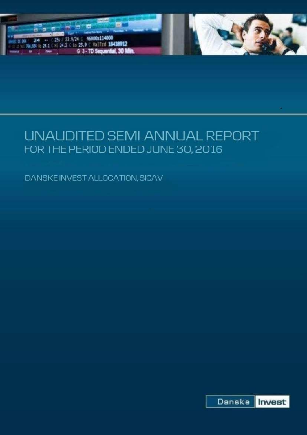

# UNAUDITED SEMI-ANNUAL REPORT FOR THE PERIOD ENDED JUNE 30, 2016

DANSKE INVEST ALLOCATION, SICAV

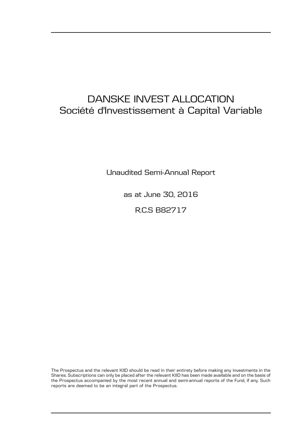## DANSKE INVEST ALLOCATION Société d'Investissement à Capital Variable

Unaudited Semi-Annual Report

as at June 30, 2016

R.C.S B82717

The Prospectus and the relevant KIID should be read in their entirety before making any investments in the Shares. Subscriptions can only be placed after the relevant KIID has been made available and on the basis of the Prospectus accompanied by the most recent annual and semi-annual reports of the Fund, if any. Such reports are deemed to be an integral part of the Prospectus.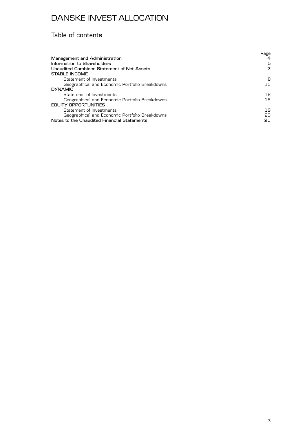### Table of contents

|                                                | Page |
|------------------------------------------------|------|
| Management and Administration                  | 4    |
| Information to Shareholders                    | 5    |
| Unaudited Combined Statement of Net Assets     | 7    |
| STABLE INCOME                                  |      |
| Statement of Investments                       | 8    |
| Geographical and Economic Portfolio Breakdowns | 15   |
| <b>DYNAMIC</b>                                 |      |
| Statement of Investments                       | 16   |
| Geographical and Economic Portfolio Breakdowns | 18   |
| EQUITY OPPORTUNITIES                           |      |
| Statement of Investments                       | 19   |
| Geographical and Economic Portfolio Breakdowns | 20   |
| Notes to the Unaudited Financial Statements    | 21   |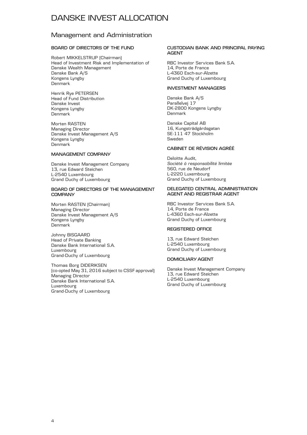### Management and Administration

### **BOARD OF DIRECTORS OF THE FUND**

Robert MIKKELSTRUP (Chairman) Head of Investment Risk and Implementation of Danske Wealth Management Danske Bank A/S Kongens Lyngby Denmark

Henrik Rye PETERSEN Head of Fund Distribution Danske Invest Kongens Lyngby Denmark

Morten RASTEN Managing Director Danske Invest Management A/S Kongens Lyngby Denmark

### **MANAGEMENT COMPANY**

Danske Invest Management Company 13, rue Edward Steichen L-2540 Luxembourg Grand Duchy of Luxembourg

#### **BOARD OF DIRECTORS OF THE MANAGEMENT COMPANY**

Morten RASTEN (Chairman) Managing Director Danske Invest Management A/S Kongens Lyngby Denmark

Johnny BISGAARD Head of Private Banking Danske Bank International S.A. Luxembourg Grand-Duchy of Luxembourg

Thomas Borg DIDERIKSEN (co-opted May 31, 2016 subject to CSSF approval) Managing Director Danske Bank International S.A. Luxembourg Grand-Duchy of Luxembourg

#### **CUSTODIAN BANK AND PRINCIPAL PAYING AGENT**

RBC Investor Services Bank S.A. 14, Porte de France L-4360 Esch-sur-Alzette Grand Duchy of Luxembourg

### **INVESTMENT MANAGERS**

Danske Bank A/S Parallelvej 17 DK-2800 Kongens Lyngby Denmark

Danske Capital AB 16, Kungsträdgårdsgatan SE-111 47 Stockholm Sweden

### **CABINET DE RÉVISION AGRÉÉ**

Deloitte Audit, *Société à responsabilité limitée* 560, rue de Neudorf L-2220 Luxembourg Grand Duchy of Luxembourg

#### **DELEGATED CENTRAL ADMINISTRATION AGENT AND REGISTRAR AGENT**

RBC Investor Services Bank S.A. 14, Porte de France L-4360 Esch-sur-Alzette Grand Duchy of Luxembourg

### **REGISTERED OFFICE**

13, rue Edward Steichen L-2540 Luxembourg Grand Duchy of Luxembourg

### **DOMICILIARY AGENT**

Danske Invest Management Company 13, rue Edward Steichen L-2540 Luxembourg Grand Duchy of Luxembourg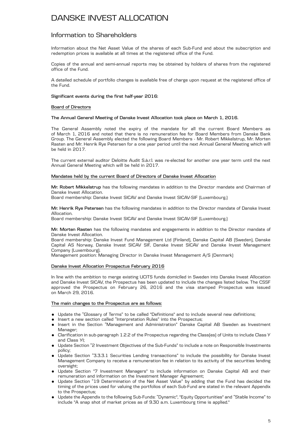### Information to Shareholders

Information about the Net Asset Value of the shares of each Sub-Fund and about the subscription and redemption prices is available at all times at the registered office of the Fund.

Copies of the annual and semi-annual reports may be obtained by holders of shares from the registered office of the Fund.

A detailed schedule of portfolio changes is available free of charge upon request at the registered office of the Fund.

#### **Significant events during the first half-year 2016:**

#### **Board of Directors**

#### **The Annual General Meeting of Danske Invest Allocation took place on March 1, 2016.**

The General Assembly noted the expiry of the mandate for all the current Board Members as of March 1, 2016 and noted that there is no remuneration fee for Board Members from Danske Bank Group. The General Assembly elected the following Board Members - Mr. Robert Mikkelstrup, Mr. Morten Rasten and Mr. Henrik Rye Petersen for a one year period until the next Annual General Meeting which will be held in 2017.

The current external auditor Deloitte Audit S.à.r.l. was re-elected for another one year term until the next Annual General Meeting which will be held in 2017.

#### **Mandates held by the current Board of Directors of Danske Invest Allocation**

**Mr. Robert Mikkelstrup** has the following mandates in addition to the Director mandate and Chairman of Danske Invest Allocation.

Board membership: Danske Invest SICAV and Danske Invest SICAV-SIF (Luxembourg.)

**Mr. Henrik Rye Petersen** has the following mandates in addition to the Director mandate of Danske Invest Allocation.

Board membership: Danske Invest SICAV and Danske Invest SICAV-SIF (Luxembourg.)

**Mr. Morten Rasten** has the following mandates and engagements in addition to the Director mandate of Danske Invest Allocation.

Board membership: Danske Invest Fund Management Ltd (Finland), Danske Capital AB (Sweden), Danske Capital AS Norway, Danske Invest SICAV SIF, Danske Invest SICAV and Danske Invest Management Company (Luxembourg).

Management position: Managing Director in Danske Invest Management A/S (Denmark)

### **Danske Invest Allocation Prospectus February 2016**

In line with the ambition to merge existing UCITS funds domiciled in Sweden into Danske Invest Allocation and Danske Invest SICAV, the Prospectus has been updated to include the changes listed below. The CSSF approved the Prospectus on February 26, 2016 and the visa stamped Prospectus was issued on March 29, 2016.

### **The main changes to the Prospectus are as follows:**

- . Update the "Glossary of Terms" to be called "Definitions" and to include several new definitions;
- . Insert a new section called "Interpretation Rules" into the Prospectus;
- . Insert in the Section "Management and Administration" Danske Capital AB Sweden as Investment Manager;
- . Clarification in sub-paragraph 1.2.2 of the Prospectus regarding the Class(es) of Units to include Class Y and Class YI;
- . Update Section "2 Investment Objectives of the Sub-Funds" to include a note on Responsible Investments policy;
- . Update Section "3.3.3.1 Securities Lending transactions" to include the possibility for Danske Invest Management Company to receive a remuneration fee in relation to its activity of the securities lending oversight;
- . Update Section "7 Investment Managers" to include information on Danske Capital AB and their remuneration and information on the Investment Manager Agreement;
- . Update Section "19 Determination of the Net Asset Value" by adding that the Fund has decided the timing of the prices used for valuing the portfolios of each Sub-Fund are stated in the relevant Appendix to the Prospectus;
- . Update the Appendix to the following Sub-Funds: "Dynamic", "Equity Opportunities" and "Stable Income" to include "A snap shot of market prices as of 9.30 a.m. Luxembourg time is applied."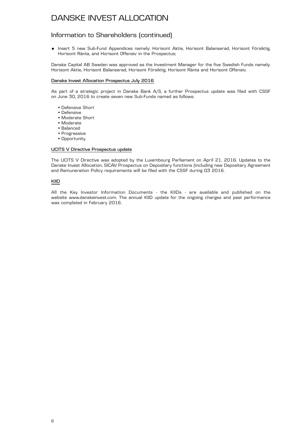### Information to Shareholders (continued)

. Insert 5 new Sub-Fund Appendices namely: Horisont Aktie, Horisont Balanserad, Horisont Försiktig, Horisont Ränta, and Horisont Offensiv in the Prospectus;

Danske Capital AB Sweden was approved as the Investment Manager for the five Swedish Funds namely: Horisont Aktie, Horisont Balanserad, Horisont Försiktig, Horisont Ränta and Horisont Offensiv.

### **Danske Invest Allocation Prospectus July 2016**

As part of a strategic project in Danske Bank A/S, a further Prospectus update was filed with CSSF on June 30, 2016 to create seven new Sub-Funds named as follows:

- Defensive Short
- Defensive
- Moderate Short
- Moderate
- Balanced
- Progressive
- Opportunity.

### **UCITS V Directive Prospectus update**

The UCITS V Directive was adopted by the Luxembourg Parliament on April 21, 2016. Updates to the Danske Invest Allocation, SICAV Prospectus on Depositary functions (including new Depositary Agreement and Remuneration Policy requirements will be filed with the CSSF during Q3 2016.

### **KIID**

All the Key Investor Information Documents - the KIIDs - are available and published on the website www.danskeinvest.com. The annual KIID update for the ongoing charges and past performance was completed in February 2016.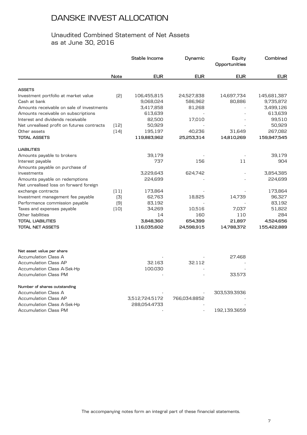### Unaudited Combined Statement of Net Assets as at June 30, 2016

|                                                       |             | Stable Income  | Dynamic      | Equity<br>Opportunities | Combined    |
|-------------------------------------------------------|-------------|----------------|--------------|-------------------------|-------------|
|                                                       | <b>Note</b> | <b>EUR</b>     | <b>EUR</b>   | <b>EUR</b>              | <b>EUR</b>  |
|                                                       |             |                |              |                         |             |
| <b>ASSETS</b><br>Investment portfolio at market value | [2]         | 106,455,815    | 24,527,838   | 14,697,734              | 145,681,387 |
| Cash at bank                                          |             | 9,068,024      | 586,962      | 80,886                  | 9,735,872   |
| Amounts receivable on sale of investments             |             | 3,417,858      | 81,268       |                         | 3,499,126   |
| Amounts receivable on subscriptions                   |             | 613,639        |              |                         | 613,639     |
| Interest and dividends receivable                     |             | 82,500         | 17,010       |                         | 99,510      |
| Net unrealised profit on futures contracts            | (12)        | 50,929         |              |                         | 50,929      |
| Other assets                                          | (14)        | 195,197        | 40,236       | 31,649                  | 267,082     |
| <b>TOTAL ASSETS</b>                                   |             | 119,883,962    | 25,253,314   | 14,810,269              | 159,947,545 |
| <b>LIABILITIES</b>                                    |             |                |              |                         |             |
| Amounts payable to brokers                            |             | 39,179         |              |                         | 39,179      |
| Interest payable                                      |             | 737            | 156          | 11                      | 904         |
| Amounts payable on purchase of                        |             |                |              |                         |             |
| investments                                           |             | 3,229,643      | 624,742      |                         | 3,854,385   |
| Amounts payable on redemptions                        |             | 224,699        |              |                         | 224,699     |
| Net unrealised loss on forward foreign                |             |                |              |                         |             |
| exchange contracts                                    | (11)        | 173,864        |              |                         | 173,864     |
| Investment management fee payable                     | (3)         | 62,763         | 18,825       | 14,739                  | 96,327      |
| Performance commission payable                        | (9)         | 83,192         |              |                         | 83,192      |
| Taxes and expenses payable                            | (10)        | 34,269         | 10,516       | 7,037                   | 51,822      |
| Other liabilities                                     |             | 14             | 160          | 110                     | 284         |
| TOTAL LIABILITIES                                     |             | 3,848,360      | 654,399      | 21,897                  | 4,524,656   |
| <b>TOTAL NET ASSETS</b>                               |             | 116,035,602    | 24,598,915   | 14,788,372              | 155,422,889 |
| Net asset value per share                             |             |                |              |                         |             |
| <b>Accumulation Class A</b>                           |             |                |              | 27.468                  |             |
| <b>Accumulation Class AP</b>                          |             | 32.163         | 32.112       |                         |             |
| Accumulation Class A-Sek-Hp                           |             | 100.030        |              |                         |             |
| <b>Accumulation Class PM</b>                          |             |                |              | 33.573                  |             |
| Number of shares outstanding                          |             |                |              |                         |             |
| <b>Accumulation Class A</b>                           |             |                |              | 303,539.3936            |             |
| <b>Accumulation Class AP</b>                          |             | 3,512,724.5172 | 766,034.8852 |                         |             |
| <b>Accumulation Class A-Sek-Hp</b>                    |             | 288,054.4733   |              |                         |             |
| <b>Accumulation Class PM</b>                          |             |                |              | 192,139.3659            |             |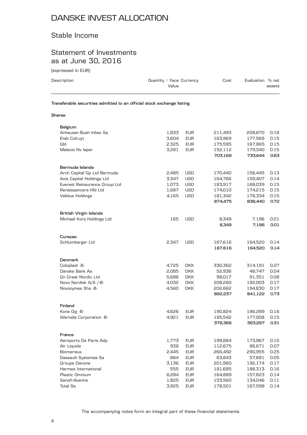### Stable Income

### Statement of Investments as at June 30, 2016

(expressed in EUR)

| Description                                                            | Quantity / Face Currency<br>Value |            | Cost               | Evaluation % net   | assets       |
|------------------------------------------------------------------------|-----------------------------------|------------|--------------------|--------------------|--------------|
| Transferable securities admitted to an official stock exchange listing |                                   |            |                    |                    |              |
| Shares                                                                 |                                   |            |                    |                    |              |
| Belgium                                                                |                                   |            |                    |                    |              |
| Anheuser-Bush Inbey Sa                                                 | 1,833                             | <b>EUR</b> | 211,493            | 208,870            | 0.18         |
| Etab Colruyt                                                           | 3,604                             | <b>EUR</b> | 163,969            | 177,569            | 0.15         |
| Gbl                                                                    | 2,325                             | <b>EUR</b> | 175,595            | 167,865            | 0.15         |
| Melexis Nv leper                                                       | 3,281                             | <b>EUR</b> | 152,112            | 179,340            | 0.15         |
|                                                                        |                                   |            | 703,169            | 733,644            | 0.63         |
| Bermuda Islands                                                        |                                   |            |                    |                    |              |
| Arch Capital Gp Ltd Bermuda                                            | 2.485                             | USD        | 170,440            | 156,445            | 0.13         |
| Axis Capital Holdings Ltd                                              | 3,347                             | <b>USD</b> | 164,766            | 159,407            | 0.14         |
| Everest Reinsurance Group Ltd                                          | 1,073                             | <b>USD</b> | 183,917            | 168,039            | 0.15         |
| Renaissancere HId Ltd                                                  | 1,687                             | <b>USD</b> | 174,010            | 174,215            | 0.15         |
| Validus Holdings                                                       | 4,165                             | <b>USD</b> | 181,342            | 178,334            | 0.15         |
|                                                                        |                                   |            | 874,475            | 836,440            | 0.72         |
| British Virgin Islands                                                 |                                   |            |                    |                    |              |
| Michael Kors Holdings Ltd                                              | 165                               | <b>USD</b> | 8,349<br>8,349     | 7,196<br>7,196     | 0.01<br>0.01 |
| Curaçao                                                                |                                   |            |                    |                    |              |
| Schlumberger Ltd                                                       | 2,347                             | <b>USD</b> | 167,616            | 164,520            | 0.14         |
|                                                                        |                                   |            | 167,616            | 164,520            | 0.14         |
| <b>Denmark</b>                                                         |                                   |            |                    |                    |              |
| Coloplast -B-                                                          | 4,725                             | <b>DKK</b> | 330,362            | 314,191            | 0.27         |
| Danske Bank As                                                         | 2,085                             | <b>DKK</b> | 52,936             | 48,747             | 0.04         |
| <b>Gn Great Nordic Ltd</b>                                             | 5,686                             | DKK.       | 98,017             | 91,351             | 0.08         |
| Novo Nordisk A/S /-B-                                                  | 4,032                             | <b>DKK</b> | 208,260            | 192,003            | 0.17         |
| Novozymes Shs -B-                                                      | 4,560                             | <b>DKK</b> | 202,662            | 194,830            | 0.17         |
|                                                                        |                                   |            | 892,237            | 841,122            | 0.73         |
| Finland                                                                |                                   |            |                    |                    |              |
| Kone Oyj -B-                                                           | 4,626                             | <b>EUR</b> | 190,824            | 186,289            | 0.16         |
| Wartsila Corporation -B-                                               | 4,921                             | <b>EUR</b> | 185,542<br>376,366 | 177,008<br>363,297 | 0.15<br>0.31 |
| France                                                                 |                                   |            |                    |                    |              |
| Aeroports De Paris Adp                                                 | 1,773                             | <b>EUR</b> | 199,884            | 173,967            | 0.15         |
| Air Liquide                                                            | 938                               | <b>EUR</b> | 112,675            | 86,671             | 0.07         |
| Biomerieux                                                             | 2,445                             | <b>EUR</b> | 266,492            | 290,955            | 0.25         |
| Dassault Systemes Sa                                                   | 864                               | <b>EUR</b> | 63,843             | 57,681             | 0.05         |
| Groupe Danone                                                          | 3,136                             | <b>EUR</b> | 201,960            | 192,174            | 0.17         |
| Hermes International                                                   | 555                               | <b>EUR</b> | 181,685            | 186,313            | 0.16         |
| Plastic Omnium                                                         | 6,284                             | <b>EUR</b> | 164,889            | 157,823            | 0.14         |
| Sanofi-Aventis                                                         | 1,825                             | <b>EUR</b> | 153,560            |                    | 0.11         |
|                                                                        |                                   |            |                    | 134,046            |              |

Total Sa 3,925 EUR 178,501 167,598 0.14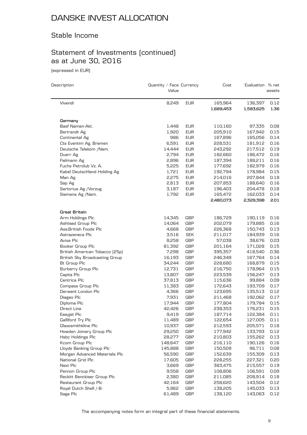### Stable Income

## Statement of Investments (continued) as at June 30, 2016

(expressed in EUR)

| Description                           | Quantity / Face Currency<br>Value |            | Cost      | Evaluation % net | assets |
|---------------------------------------|-----------------------------------|------------|-----------|------------------|--------|
| Vivendi                               | 8,249                             | <b>EUR</b> | 165,964   | 136,397          | 0.12   |
|                                       |                                   |            | 1,689,453 | 1,583,625        | 1.36   |
| Germany                               |                                   |            |           |                  |        |
| Basf Namen-Akt.                       | 1,448                             | EUR        | 110,160   | 97,335           | 0.08   |
| Bertrandt Ag                          | 1,920                             | <b>EUR</b> | 205,910   | 167,942          | 0.15   |
| Continental Ag                        | 986                               | <b>EUR</b> | 167,896   | 165,056          | 0.14   |
| Cts Eventim Ag. Bremen                | 6,591                             | EUR        | 228,531   | 181,912          | 0.16   |
| Deutsche Telekom /Nam.                | 14,444                            | <b>EUR</b> | 243,292   | 217,512          | 0.19   |
| Duerr Ag                              | 2,794                             | <b>EUR</b> | 182,660   | 186,472          | 0.16   |
| Fielmann Ag                           | 2,896                             | EUR        | 187,394   | 188,211          | 0.16   |
| Fuchs Petrolub Vz. A.                 | 5,225                             | <b>EUR</b> | 177,692   | 182,979          | 0.16   |
| Kabel Deutschland Holding Ag          | 1,721                             | <b>EUR</b> | 192,794   | 178,984          | 0.15   |
| Man Ag                                | 2,275                             | EUR        | 214,016   | 207,844          | 0.18   |
| Sap Ag                                | 2,813                             | <b>EUR</b> | 207,853   | 188,640          | 0.16   |
| Sartorius Ag / Vorzug.                | 3,187                             | <b>EUR</b> | 196,403   | 204,478          | 0.18   |
| Siemens Ag /Nam.                      | 1,792                             | <b>EUR</b> | 165,472   | 162,033          | 0.14   |
|                                       |                                   |            | 2,480,073 | 2,329,398        | 2.01   |
| Great Britain                         |                                   |            |           |                  |        |
| Arm Holdings Plc                      | 14,345                            | GBP        | 186,729   | 190,119          | 0.16   |
| Ashtead Group Plc                     | 14,064                            | GBP        | 202,079   | 179,885          | 0.16   |
| Ass. British Foods Plc                | 4,668                             | GBP        | 226,368   | 150,743          | 0.13   |
| Astrazeneca Plc                       | 3,516                             | <b>SEK</b> | 211,017   | 184,939          | 0.16   |
| Aviva Plc                             | 8,258                             | <b>GBP</b> | 57,038    | 38,676           | 0.03   |
| Booker Group Plc                      | 81,392                            | GBP        | 201,164   | 171,028          | 0.15   |
| British American Tobacco (25p)        | 7,298                             | <b>GBP</b> | 395,357   | 418,540          | 0.36   |
| <b>British Sky Broadcasting Group</b> | 16,193                            | <b>GBP</b> | 246,349   | 167,764          | 0.14   |
| Bt Group Plc                          | 34,244                            | GBP        | 228,680   | 168,879          | 0.15   |
| Burberry Group Plc                    | 12,731                            | <b>GBP</b> | 216,750   | 178,964          | 0.15   |
| Capita Plc                            | 13,807                            | <b>GBP</b> | 223,539   | 156,247          | 0.13   |
| Centrica Plc                          | 37,813                            | GBP        | 115,636   | 99,884           | 0.09   |
| Compass Group Plc                     | 11,383                            | GBP        | 172,643   | 193,709          | 0.17   |
| Derwent London Plc                    | 4,366                             | <b>GBP</b> | 123,695   | 135,513          | 0.12   |
| Diageo Plc                            | 7,931                             | GBP        | 211,468   | 192,062          | 0.17   |
| Diploma Plc                           | 17,944                            | <b>GBP</b> | 177,804   | 179,784          | 0.15   |
| Direct Line                           | 42,426                            | <b>GBP</b> | 238,353   | 176,231          | 0.15   |
| Easyjet Plc                           | 9,419                             | <b>GBP</b> | 187,714   | 122,384          | 0.11   |
| Galliford Try Plc                     | 11,489                            | GBP        | 122,654   | 127,005          | 0.11   |
| Glaxosmithkline Plc                   | 10,937                            | GBP        | 212,593   | 205,571          | 0.18   |
| Howden Joinery Group Plc              | 29,250                            | GBP        | 177,942   | 133,793          | 0.12   |
| Hsbc Holdings Plc                     | 28,277                            | GBP        | 210,803   | 155,262          | 0.13   |
| Kcom Group Plc                        | 148,647                           | GBP        | 216,110   | 190,126          | 0.16   |
| Lloyds Banking Group Plc              | 145,888                           | GBP        | 150,509   | 96,711           | 0.08   |
| Morgan Advanced Materials Plc         | 56,590                            | GBP        | 152,639   | 155,309          | 0.13   |
| National Grid Plc                     | 17,605                            | GBP        | 228,255   | 227,321          | 0.20   |
| Next Plc                              | 3,669                             | GBP        | 383,475   | 215,557          | 0.19   |
| Pennon Group Plc                      | 9,558                             | GBP        | 108,806   | 106,591          | 0.09   |
| Reckitt Benckiser Group Plc           | 2,380                             | GBP        | 211,085   | 208,914          | 0.18   |
| Restaurant Group Plc                  | 42,164                            | GBP        | 258,620   | 143,504          | 0.12   |
| Royal Dutch Shell /-B-                | 5,962                             | GBP        | 138,205   | 145,033          | 0.13   |
| Saga Plc                              | 61,489                            | GBP        | 138,120   | 143,063          | 0.12   |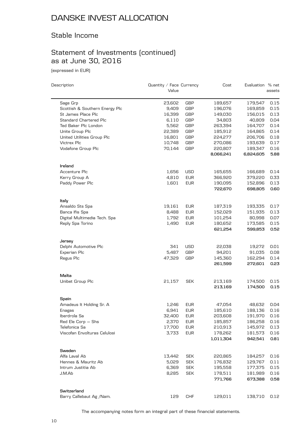### Stable Income

## Statement of Investments (continued) as at June 30, 2016

(expressed in EUR)

| Description                    | Quantity / Face Currency<br>Value |            | Cost                 | Evaluation % net     | assets       |
|--------------------------------|-----------------------------------|------------|----------------------|----------------------|--------------|
| Sage Grp                       | 23,602                            | <b>GBP</b> | 189,657              | 179,547              | 0.15         |
| Scottish & Southern Energy Plc | 9,409                             | <b>GBP</b> | 196,076              | 169,859              | 0.15         |
| St James Place Plc             | 16,399                            | <b>GBP</b> | 149,030              | 156,015              | 0.13         |
| Standard Chartered Plc         | 6,110                             | <b>GBP</b> | 34,803               | 40,809               | 0.04         |
|                                |                                   |            |                      |                      |              |
| Ted Baker Plc London           | 5,562                             | <b>GBP</b> | 263,394              | 164,707              | 0.14         |
| Unite Group Plc                | 22,389                            | <b>GBP</b> | 185,912              | 164,865              | 0.14         |
| United Utilities Group Plc     | 16,801                            | <b>GBP</b> | 224,277              | 206,706              | 0.18         |
| Victrex Plc                    | 10,748                            | GBP        | 270,086              | 193,639              | 0.17         |
| Vodafone Group Plc             | 70,144                            | <b>GBP</b> | 220,807<br>8,066,241 | 189,347<br>6,824,605 | 0.16<br>5.88 |
| Ireland                        |                                   |            |                      |                      |              |
| Accenture Plc                  | 1,656                             | <b>USD</b> | 165,655              | 166,689              | 0.14         |
| Kerry Group A                  | 4,810                             | <b>EUR</b> | 366,920              | 379,220              | 0.33         |
| Paddy Power Plc                | 1,601                             | <b>EUR</b> | 190,095              | 152,896              | 0.13         |
|                                |                                   |            | 722,670              | 698,805              | 0.60         |
| Italy                          |                                   |            |                      |                      |              |
| Ansaldo Sts Spa                | 19,161                            | <b>EUR</b> | 187,319              | 193,335              | 0.17         |
| Banca Ifis Spa                 | 8,488                             | <b>EUR</b> | 152,029              | 151,935              | 0.13         |
| Digital Multimedia Tech. Spa   | 1,792                             | <b>EUR</b> | 101,254              | 80,998               | 0.07         |
| Reply Spa Torino               | 1,490                             | <b>EUR</b> | 180,652              | 173,585              | 0.15         |
|                                |                                   |            | 621,254              | 599,853              | 0.52         |
| Jersey                         |                                   |            |                      |                      |              |
| Delphi Automotive Plc          | 341                               | <b>USD</b> | 22,038               | 19,272               | 0.01         |
| Experian Plc                   | 5,487                             | <b>GBP</b> | 94,201               | 91,035               | 0.08         |
| Regus Plc                      | 47,329                            | <b>GBP</b> | 145,360              | 162,294              | 0.14         |
|                                |                                   |            | 261,599              | 272,601              | 0.23         |
| Malta                          |                                   |            |                      |                      |              |
| Unibet Group Plc               | 21,157                            | <b>SEK</b> | 213,169              | 174,500              | 0.15         |
|                                |                                   |            | 213,169              | 174,500              | 0.15         |
| Spain                          |                                   |            |                      |                      |              |
| Amadeus It Holding Sr. A       | 1,246                             | <b>EUR</b> | 47,054               | 48,632               | 0.04         |
| Enagas                         | 6,941                             | <b>EUR</b> | 185,610              | 188,136              | 0.16         |
| Iberdrola Sa                   | 32,400                            | <b>EUR</b> | 203,608              | 191,970              | 0.16         |
| Red Ele Corp - Shs             | 2,370                             | <b>EUR</b> | 185,857              | 186,258              | 0.16         |
| Telefonica Sa                  | 17,700                            | <b>EUR</b> | 210,913              | 145,972              | 0.13         |
| Viscofan Envolturas Celulosi   | 3,733                             | <b>EUR</b> | 178,262              | 181,573              | 0.16         |
|                                |                                   |            | 1,011,304            | 942,541              | 0.81         |
| Sweden                         |                                   |            |                      |                      |              |
| Alfa Laval Ab                  | 13,442                            | <b>SEK</b> | 220,865              | 184,257              | 0.16         |
| Hennes & Mauritz Ab            | 5,029                             | <b>SEK</b> | 176,832              | 129,767              | 0.11         |
| Intrum Justitia Ab             | 6,369                             | <b>SEK</b> | 195,558              | 177,375              | 0.15         |
| J.M.Ab                         | 8,285                             | <b>SEK</b> | 178,511              | 181,989              | 0.16         |
|                                |                                   |            | 771,766              | 673,388              | 0.58         |
| Switzerland                    |                                   |            |                      |                      |              |
| Barry Callebaut Ag / Nam.      | 129                               | <b>CHF</b> | 129,011              | 138,710              | 0.12         |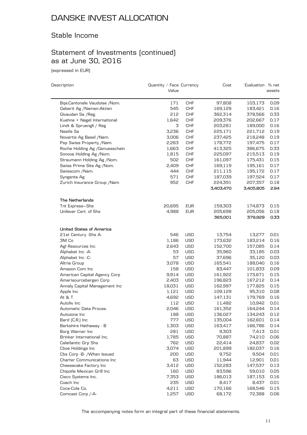### Stable Income

## Statement of Investments (continued) as at June 30, 2016

(expressed in EUR)

| Description                       | Quantity / Face Currency |            | Cost      | Evaluation % net |        |
|-----------------------------------|--------------------------|------------|-----------|------------------|--------|
|                                   | Value                    |            |           |                  | assets |
| Bqe.Cantonale Vaudoise /Nom.      | 171                      | <b>CHF</b> | 97,808    | 103,173          | 0.09   |
| Geberit Ag /Namen-Aktien          | 545                      | <b>CHF</b> | 169,129   | 183,421          | 0.16   |
| Givaudan Sa / Reg.                | 212                      | <b>CHF</b> | 362,314   | 378,566          | 0.33   |
| Kuehne + Nagel International      | 1,642                    | <b>CHF</b> | 209,376   | 202,667          | 0.17   |
| Lindt & Spruengli / Reg           | 3                        | <b>CHF</b> | 203,281   | 189,000          | 0.16   |
| Nestle Sa                         | 3,236                    | <b>CHF</b> | 225,171   | 221,712          | 0.19   |
| Novartis Ag Basel / Nam.          | 3,006                    | <b>CHF</b> | 237,425   | 218,248          | 0.19   |
| Psp Swiss Property /Nam.          | 2,263                    | <b>CHF</b> | 178,772   | 197,475          | 0.17   |
| Roche Holding Ag / Genussschein   | 1,663                    | <b>CHF</b> | 413,325   | 386,675          | 0.33   |
| Sonova Holding Ag / Nom.          | 1,815                    | <b>CHF</b> | 225,097   | 215,513          | 0.19   |
| Straumann Holding Ag /Nom.        | 502                      | <b>CHF</b> | 161,097   | 175,431          | 0.15   |
| Swiss Prime Site Ag / Nom.        | 2,409                    | <b>CHF</b> | 169,119   | 195,161          | 0.17   |
| Swisscom /Nam.                    | 444                      | <b>CHF</b> | 211,115   | 195,172          | 0.17   |
| Syngenta Ag                       | 571                      | <b>CHF</b> | 187,039   | 197,524          | 0.17   |
| Zurich Insurance Group / Nam      | 952                      | <b>CHF</b> | 224,391   | 207,357          | 0.18   |
|                                   |                          |            | 3,403,470 | 3,405,805        | 2.94   |
| The Netherlands                   |                          |            |           |                  |        |
| Tnt Express-Shs                   | 20,695                   | EUR        | 159,303   | 174,873          | 0.15   |
| Unilever Cert. of Shs             | 4,988                    | <b>EUR</b> | 205,698   | 205,056          | 0.18   |
|                                   |                          |            | 365,001   | 379,929          | 0.33   |
| United States of America          |                          |            |           |                  |        |
| 21st Century -Shs A-              | 546                      | <b>USD</b> | 13,754    | 13,277           | 0.01   |
| 3M Co                             | 1,186                    | <b>USD</b> | 173,632   | 183,214          | 0.16   |
| Agl Resources Inc                 | 2,643                    | <b>USD</b> | 152,700   | 157,085          | 0.14   |
| Alphabet Inc -A-                  | 53                       | <b>USD</b> | 35,960    | 33,185           | 0.03   |
| Alphabet Inc -C-                  | 57                       | <b>USD</b> | 37,696    | 35,120           | 0.03   |
| Altria Group                      | 3,078                    | <b>USD</b> | 165,541   | 188,040          | 0.16   |
| Amazon Com Inc                    | 158                      | <b>USD</b> | 83,447    | 101,833          | 0.09   |
| American Capital Agency Corp      | 9,914                    | <b>USD</b> | 161,922   | 173,671          | 0.15   |
| Amerisourcebergen Corp            | 2,403                    | <b>USD</b> | 196,823   | 167,212          | 0.14   |
| Annaly Capital Management Inc     | 18,031                   | <b>USD</b> | 162,997   | 177,825          | 0.15   |
| Apple Inc                         | 1,121                    | <b>USD</b> | 109,129   | 95,310           | 0.08   |
| At & T                            | 4,692                    | <b>USD</b> | 147,131   | 179,769          | 0.16   |
| Autoliv Inc                       | 112                      | <b>USD</b> | 11,482    | 10,942           | 0.01   |
| Automatic Data Proces.            | 2,046                    | <b>USD</b> | 161,352   | 164,244          | 0.14   |
| Autozone Inc                      | 188                      | <b>USD</b> | 136,027   | 134,243          | 0.12   |
| Bard (C.R.) Inc                   | 777                      | USD        | 135,004   | 162,601          | 0.14   |
| Berkshire Hathaway - B            | 1,303                    | USD        | 163,417   | 166,786          | 0.14   |
| Borg Warner Inc                   | 281                      | USD        | 9,303     | 7,413            | 0.01   |
| Brinker International Inc.        | 1,785                    | USD        | 70,887    | 74,210           | 0.06   |
| Calatlantic Grp Shs               | 762                      | <b>USD</b> | 22,414    | 24,837           | 0.02   |
| Cboe Holdings Inc                 | 3,074                    | <b>USD</b> | 201,899   | 182,037          | 0.16   |
| Cbs Corp -B- / When Issued        | 200                      | USD        | 9,752     | 9,504            | 0.01   |
| <b>Charter Communications Inc</b> | 63                       | <b>USD</b> | 11,944    | 12,901           | 0.01   |
| Cheesecake Factory Inc            | 3,412                    | USD        | 152,283   | 147,537          | 0.13   |
| Chipotle Mexican Grill Inc        | 160                      | USD        | 83,596    | 59,010           | 0.05   |
| Cisco Systems Inc.                | 7,353                    | <b>USD</b> | 186,013   | 187,153          | 0.16   |
| Coach Inc                         | 235                      | USD        | 8,417     | 8,437            | 0.01   |
| Coca-Cola Co.                     | 4,211                    | USD        | 170,166   | 168,546          | 0.15   |
| Comcast Corp /-A-                 | 1,257                    | <b>USD</b> | 68,172    | 72,388           | 0.06   |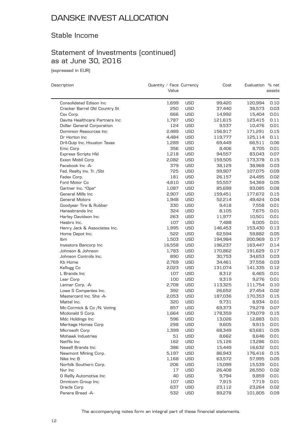### Stable Income

## Statement of Investments (continued) as at June 30, 2016

(expressed in EUR)

| Description                       | Quantity / Face Currency<br>Value |            | Cost    | Evaluation % net | assets |
|-----------------------------------|-----------------------------------|------------|---------|------------------|--------|
|                                   |                                   |            |         |                  |        |
| Consolidated Edison Inc           | 1,699                             | <b>USD</b> | 99,420  | 120,994          | 0.10   |
| Cracker Barrel Old Country St     | 250                               | <b>USD</b> | 37,440  | 38,573           | 0.03   |
| Csx Corp.                         | 666                               | <b>USD</b> | 14,992  | 15,404           | 0.01   |
| Davita Healthcare Partners Inc    | 1,787                             | <b>USD</b> | 121,615 | 123,415          | 0.11   |
| <b>Dollar General Corporation</b> | 124                               | <b>USD</b> | 9,537   | 10,476           | 0.01   |
| Dominion Resources Inc            | 2,489                             | <b>USD</b> | 156,917 | 171,291          | 0.15   |
| Dr Horton Inc.                    | 4,484                             | <b>USD</b> | 119,777 | 125,114          | 0.11   |
| Dril-Quip Inc. Houston Texas      | 1,289                             | <b>USD</b> | 69,449  | 66,511           | 0.06   |
| Emc Corp                          | 356                               | <b>USD</b> | 8,406   | 8,705            | 0.01   |
| <b>Express Scripts Hld</b>        | 1,218                             | <b>USD</b> | 94,557  | 83,043           | 0.07   |
| Exxon Mobil Corp                  | 2,082                             | <b>USD</b> | 159,505 | 173,378          | 0.15   |
| Facebook Inc -A-                  | 379                               | <b>USD</b> | 38,129  | 38,968           | 0.03   |
| Fed. Realty Inv. Tr. /Sbi         | 725                               | <b>USD</b> | 99,907  | 107,075          | 0.09   |
| Fedex Corp.                       | 181                               | <b>USD</b> | 26,157  | 24,495           | 0.02   |
| Ford Motor Co                     | 4,810                             | <b>USD</b> | 55,557  | 54,369           | 0.05   |
| Gartner Inc. *Opa*                | 1,087                             | <b>USD</b> | 85,699  | 93,085           | 0.08   |
| General Mills Inc                 | 2,907                             | <b>USD</b> | 159,451 | 177,672          | 0.15   |
| <b>General Motors</b>             | 1,948                             | <b>USD</b> | 52,214  | 49,424           | 0.04   |
| Goodyear Tire & Rubber            | 330                               | <b>USD</b> | 9,418   | 7,558            | 0.01   |
| Hanesbrands Inc                   | 324                               | <b>USD</b> | 8,105   | 7,675            | 0.01   |
| Harley Davidson Inc.              | 263                               | <b>USD</b> | 11,977  | 10,501           | 0.01   |
| Hasbro Inc.                       | 107                               | <b>USD</b> | 7,488   | 8,005            | 0.01   |
| Henry Jack & Associates Inc.      | 1,995                             | <b>USD</b> | 146,453 | 153,430          | 0.13   |
| Home Depot Inc.                   | 522                               | <b>USD</b> | 62,594  | 59,882           | 0.05   |
| Ibm                               | 1,503                             | <b>USD</b> | 194,984 | 200,969          | 0.17   |
| Investors Bancorp Inc             | 16,558                            | <b>USD</b> | 196,237 | 163,447          | 0.14   |
| Johnson & Johnson                 | 1,783                             | <b>USD</b> | 170,862 | 191,629          | 0.17   |
| Johnson Controls Inc.             | 890                               | <b>USD</b> | 30,753  | 34,653           | 0.03   |
| Kb Home                           | 2,769                             | <b>USD</b> | 34,461  | 37,558           | 0.03   |
| Kellogg Co                        | 2,023                             | <b>USD</b> | 131,074 | 141,335          | 0.12   |
| L Brands Inc                      | 107                               | <b>USD</b> | 8,312   | 6,465            | 0.01   |
| Lear Corp                         | 100                               | <b>USD</b> | 9,319   | 9,276            | 0.01   |
| Lennar Corp. - A-                 | 2,708                             | <b>USD</b> | 113,325 | 111,754          | 0.10   |
| Lowe S Companies Inc.             | 392                               | <b>USD</b> | 26,652  | 27,454           | 0.02   |
| Mastercard Inc. Shs -A-           | 2,053                             | <b>USD</b> | 187,036 | 170,353          | 0.15   |
| Mattel Inc.                       | 320                               | USD        | 9,731   | 8,934            | 0.01   |
| Mc-Cormick & Co /N. Voting        | 857                               | <b>USD</b> | 69,373  | 79,278           | 0.07   |
| Mcdonald S Corp.                  | 1,664                             | <b>USD</b> | 178.359 | 179.079          | 0.15   |
| Mdc Holdings Inc                  | 596                               | <b>USD</b> | 13,026  | 12,883           | 0.01   |
| Meritage Homes Corp               | 298                               | <b>USD</b> | 9,605   | 9,915            | 0.01   |
| Microsoft Corp                    | 1,399                             | <b>USD</b> | 68,349  | 63,681           | 0.05   |
| Mohawk Industries                 | 51                                | <b>USD</b> | 8,662   | 8,646            | 0.01   |
| Netflix Inc                       | 162                               | <b>USD</b> | 15,126  | 13,286           | 0.01   |
| Newell Brands Inc                 | 386                               | USD        | 15,449  | 16,632           | 0.01   |
| Newmont Mining Corp.              | 5,197                             | <b>USD</b> | 86,943  | 176,416          | 0.15   |
| Nike Inc B                        | 1,168                             | <b>USD</b> | 63,572  | 57,995           | 0.05   |
| Norfolk Southern Corp.            | 206                               | <b>USD</b> | 15,099  | 15,539           | 0.01   |
| Nvr Inc                           | 17                                | <b>USD</b> | 26,408  | 26,550           | 0.02   |
| O Reilly Automotive Inc           | 40                                | USD        | 9,794   | 9,859            | 0.01   |
| Omnicom Group Inc.                | 107                               | USD        | 7,915   | 7,719            | 0.01   |
| Oracle Corp                       | 637                               | <b>USD</b> | 23,112  | 23,264           | 0.02   |
| Panera Bread -A-                  | 532                               | <b>USD</b> | 89,278  | 101,805          | 0.09   |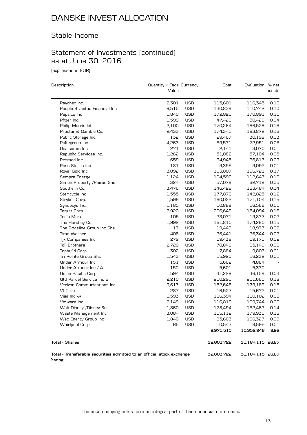### Stable Income

## Statement of Investments (continued) as at June 30, 2016

(expressed in EUR)

| Description                                                                       | Quantity / Face Currency |            | Cost       | Evaluation % net |                          |
|-----------------------------------------------------------------------------------|--------------------------|------------|------------|------------------|--------------------------|
|                                                                                   | Value                    |            |            |                  | assets                   |
| Paychex Inc.                                                                      | 2,301                    | <b>USD</b> | 115,601    | 116,345          | 0.10                     |
| People S United Financial Inc                                                     | 8,515                    | <b>USD</b> | 130,839    | 110,742          | 0.10                     |
| Pepsico Inc                                                                       | 1,840                    | <b>USD</b> | 172,820    | 170,891          | 0.15                     |
| Pfizer Inc.                                                                       | 1,599                    | <b>USD</b> | 47,429     | 50,420           | 0.04                     |
| Philip Morris Int.                                                                | 2,100                    | <b>USD</b> | 170,264    | 186,528          | 0.16                     |
| Procter & Gamble Co.                                                              | 2,433                    | <b>USD</b> | 174,345    | 183,872          | 0.16                     |
| Public Storage Inc.                                                               | 132                      | <b>USD</b> | 29,467     | 30,198           | 0.03                     |
| Pultegroup Inc                                                                    | 4,263                    | <b>USD</b> | 69,571     | 72,951           | 0.06                     |
| Qualcomm Inc.                                                                     | 271                      | <b>USD</b> | 12,141     | 13,070           | 0.01                     |
| Republic Services Inc.                                                            | 1,262                    | <b>USD</b> | 51,082     | 57,104           | 0.05                     |
| Resmed Inc                                                                        | 659                      | <b>USD</b> | 34,945     | 36,817           | 0.03                     |
| Ross Stores Inc                                                                   | 181                      | <b>USD</b> | 9,395      | 9,092            | 0.01                     |
| Royal Gold Inc                                                                    | 3,092                    | <b>USD</b> | 103,807    | 196,721          | 0.17                     |
| Sempra Energy                                                                     | 1,124                    | <b>USD</b> | 104,599    | 112,643          | 0.10                     |
| Simon Property / Paired Shs                                                       | 324                      | <b>USD</b> | 57,079     | 62,719           | 0.05                     |
| Southern Co.                                                                      | 3,476                    | <b>USD</b> | 146,429    | 163,484          | 0.14                     |
| Stericycle Inc                                                                    | 1,555                    | <b>USD</b> | 177,876    | 142,825          | 0.12                     |
| Stryker Corp.                                                                     | 1,599                    | <b>USD</b> | 160,022    | 171,104          | 0.15                     |
| Synopsys Inc.                                                                     | 1,185                    | <b>USD</b> | 50,888     | 56,566           | 0.05                     |
| Target Corp                                                                       | 2,920                    | <b>USD</b> | 206,649    | 184,094          | 0.16                     |
| Tesla Mtrs                                                                        | 105                      | <b>USD</b> | 23,071     | 19,877           | 0.02                     |
| The Hershey Co                                                                    | 1,992                    | <b>USD</b> | 161,810    | 174,280          | 0.15                     |
| The Priceline Group Inc Shs                                                       | 17                       | <b>USD</b> | 19,449     | 18,977           | 0.02                     |
| Time Warner                                                                       | 408                      | <b>USD</b> | 26,441     | 26,344           | 0.02                     |
| Tjx Companies Inc                                                                 | 279                      | <b>USD</b> | 19,439     | 19,175           | 0.02                     |
| <b>Toll Brothers</b>                                                              | 2,720                    | <b>USD</b> | 70,846     | 65,140           | 0.06                     |
| <b>Topbuild Corp</b>                                                              | 302                      | <b>USD</b> | 7,864      | 9,803            | 0.01                     |
| Tri Pointe Group Shs                                                              | 1,543                    | <b>USD</b> | 15,920     | 16,232           | 0.01                     |
| Under Armour Inc                                                                  | 151                      | <b>USD</b> | 5,662      | 4,884            |                          |
| Under Armour Inc /-A-                                                             | 150                      | <b>USD</b> | 5,601      | 5,370            | $\overline{\phantom{a}}$ |
| Union Pacific Corp                                                                | 594                      | <b>USD</b> | 41,228     | 46,159           | 0.04                     |
| Utd Parcel Service Inc B                                                          | 2,210                    | <b>USD</b> | 210,291    | 211,665          | 0.18                     |
| Verizon Communications Inc                                                        | 3,613                    | <b>USD</b> | 152,648    | 179,169          | 0.15                     |
| Vf Corp                                                                           | 287                      | <b>USD</b> | 16,527     | 15,672           | 0.01                     |
| Visa Inc -A                                                                       | 1,593                    | <b>USD</b> | 116,394    | 110,102          | 0.09                     |
| Vmware Inc                                                                        | 2,149                    | <b>USD</b> | 116,819    | 109,744          | 0.09                     |
| Walt Disney /Disney Ser                                                           | 1,860                    | <b>USD</b> | 178,494    | 162,463          | 0.14                     |
| Waste Management Inc                                                              | 3,084                    | <b>USD</b> | 155,112    | 179,935          | 0.16                     |
| Wec Energy Group Inc                                                              | 1,840                    | USD        | 85,663     | 106,327          | 0.09                     |
| Whirlpool Corp.                                                                   | 65                       | <b>USD</b> | 10,543     | 9,595            | 0.01                     |
|                                                                                   |                          |            | 9,975,510  | 10,352,846       | 8.92                     |
| <b>Total - Shares</b>                                                             |                          |            | 32,603,722 | 31,184,115 26.87 |                          |
| Total - Transferable securities admitted to an official stock exchange<br>listing |                          |            | 32,603,722 | 31,184,115 26.87 |                          |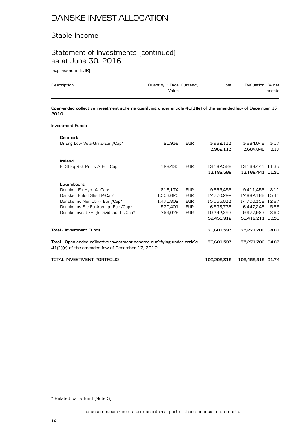### Stable Income

## Statement of Investments (continued) as at June 30, 2016

(expressed in EUR)

| Description                                                                                                                                                                                  | Quantity / Face Currency<br>Value                       |                                                                    | Cost                                                                           | Evaluation % net                                                                                | assets               |
|----------------------------------------------------------------------------------------------------------------------------------------------------------------------------------------------|---------------------------------------------------------|--------------------------------------------------------------------|--------------------------------------------------------------------------------|-------------------------------------------------------------------------------------------------|----------------------|
| Open-ended collective investment scheme qualifying under article 41(1)[e] of the amended law of December 17,<br>2010                                                                         |                                                         |                                                                    |                                                                                |                                                                                                 |                      |
| <b>Investment Funds</b>                                                                                                                                                                      |                                                         |                                                                    |                                                                                |                                                                                                 |                      |
| <b>Denmark</b><br>Di Eng Low Vola-Units-Eur /Cap*                                                                                                                                            | 21,938                                                  | <b>EUR</b>                                                         | 3,962,113<br>3,962,113                                                         | 3,684,048<br>3.684.048                                                                          | 3.17<br>3.17         |
| Ireland<br>FI GI Eq Rsk Pr Ls A Eur Cap                                                                                                                                                      | 128,435                                                 | <b>EUR</b>                                                         | 13,182,568<br>13,182,568                                                       | 13,168,441 11.35<br>13,168,441 11.35                                                            |                      |
| Luxembourg<br>Danske I Eu Hyb -A- Cap*<br>Danske I Eulsd Shs-I P-Cap*<br>Danske Inv Nor Cb -I- Eur /Cap*<br>Danske Inv Sic Eu Abs -Ip- Eur /Cap*<br>Danske Invest / High Dividend -I- / Cap* | 818,174<br>1,553,620<br>1,471,802<br>520.401<br>769,075 | <b>EUR</b><br><b>EUR</b><br><b>EUR</b><br><b>EUR</b><br><b>EUR</b> | 9,555,456<br>17,770,292<br>15,055,033<br>6.833.738<br>10,242,393<br>59,456,912 | 9,411,456<br>17,882,166 15.41<br>14,700,358 12.67<br>6.447.248<br>9,977,983<br>58,419,211 50.35 | 8.11<br>5.56<br>8.60 |
| <b>Total - Investment Funds</b>                                                                                                                                                              |                                                         |                                                                    | 76,601,593                                                                     | 75,271,700 64.87                                                                                |                      |
| Total - Open-ended collective investment scheme qualifying under article<br>41[1][e] of the amended law of December 17, 2010                                                                 |                                                         |                                                                    | 76,601,593                                                                     | 75,271,700 64.87                                                                                |                      |
| TOTAL INVESTMENT PORTFOLIO                                                                                                                                                                   |                                                         |                                                                    | 109.205.315                                                                    | 106.455.815 91.74                                                                               |                      |

\* Related party fund (Note 3)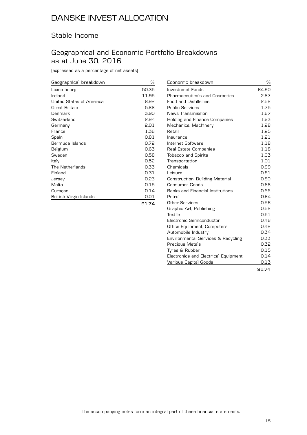### Stable Income

### Geographical and Economic Portfolio Breakdowns as at June 30, 2016

(expressed as a percentage of net assets)

| Geographical breakdown   | %     |
|--------------------------|-------|
| Luxembourg               | 50.35 |
| Ireland                  | 11.95 |
| United States of America | 8.92  |
| Great Britain            | 5.88  |
| Denmark                  | 3.90  |
| Switzerland              | 2.94  |
| Germany                  | 2.01  |
| France                   | 1.36  |
| Spain                    | 0.81  |
| Bermuda Islands          | 0.72  |
| Belgium                  | 0.63  |
| Sweden                   | 0.58  |
| Italy                    | 0.52  |
| The Netherlands          | 0.33  |
| Finland                  | 0.31  |
| Jersey                   | 0.23  |
| Malta                    | 0.15  |
| Curaçao                  | 0.14  |
| British Virgin Islands   | 0.01  |
|                          | 91.74 |

| Economic breakdown                   | ℅     |
|--------------------------------------|-------|
| Investment Funds                     | 64.90 |
| <b>Pharmaceuticals and Cosmetics</b> | 2.67  |
| <b>Food and Distilleries</b>         | 2.52  |
| <b>Public Services</b>               | 1.75  |
| News Transmission                    | 1.67  |
| Holding and Finance Companies        | 1.63  |
| Mechanics, Machinery                 | 1.28  |
| Retail                               | 1.25  |
| Insurance                            | 1.21  |
| Internet Software                    | 1.18  |
| Real Estate Companies                | 1.18  |
| <b>Tobacco and Spirits</b>           | 1.03  |
| Transportation                       | 1.01  |
| Chemicals                            | 0.99  |
| Leisure                              | 0.81  |
| Construction, Building Material      | 0.80  |
| <b>Consumer Goods</b>                | 0.68  |
| Banks and Financial Institutions     | 0.66  |
| Petrol                               | 0.64  |
| Other Services                       | 0.56  |
| Graphic Art, Publishing              | 0.52  |
| Textile                              | 0.51  |
| Electronic Semiconductor             | 0.46  |
| Office Equipment, Computers          | 0.42  |
| Automobile Industry                  | 0.34  |
| Environmental Services & Recycling   | 0.33  |
| Precious Metals                      | 0.32  |
| Tyres & Rubber                       | 0.15  |
| Electronics and Electrical Equipment | 0.14  |
| Various Capital Goods                | 0.13  |
|                                      | 91.74 |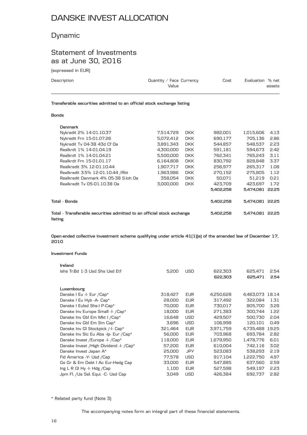### Dynamic

### Statement of Investments as at June 30, 2016

(expressed in EUR)

| Description | Quantity / Face Currency<br>Value | Cost | Evaluation % net | assets |
|-------------|-----------------------------------|------|------------------|--------|
|             |                                   |      |                  |        |

**Transferable securities admitted to an official stock exchange listing**

#### **Bonds**

|         | Denmark                                                                |           |            |           |                 |       |
|---------|------------------------------------------------------------------------|-----------|------------|-----------|-----------------|-------|
|         | Nykredit 2% 14-01.10.37                                                | 7,514,729 | <b>DKK</b> | 982,001   | 1,015,606       | 4.13  |
|         | Nykredit Frn 15-01.07.26                                               | 5,072,412 | <b>DKK</b> | 690,177   | 705,136         | 2.86  |
|         | Nykredit Tv 04-38 43d Cf Oa                                            | 3.891.343 | <b>DKK</b> | 544.857   | 548.537         | 2.23  |
|         | Realkrdt 1% 14-01.04.19                                                | 4,300,000 | <b>DKK</b> | 591,181   | 594.673         | 2.42  |
|         | Realkrdt 1% 14-01.04.21                                                | 5,500,000 | <b>DKK</b> | 762,341   | 765,243         | 3.11  |
|         | Realkrdt Frn 15-01.01.17                                               | 6.164.808 | <b>DKK</b> | 830.792   | 828.848         | 3.37  |
|         | Realkredit 3% 12-01.10.44                                              | 1,907,717 | <b>DKK</b> | 256.977   | 265.317         | 1.08  |
|         | Realkredit 3.5% 12-01.10.44 / Rbt                                      | 1,963,986 | <b>DKK</b> | 270,152   | 275,805         | 1.12  |
|         | Realkredit Danmark 4% 05-38 S.loh Oa                                   | 358.054   | <b>DKK</b> | 50.071    | 51,219          | 0.21  |
|         | Realkredit Tv 05-01.10.38 Oa                                           | 3.000.000 | <b>DKK</b> | 423.709   | 423.697         | 1.72  |
|         |                                                                        |           |            | 5.402.258 | 5.474.081       | 22.25 |
|         | Total - Bonds                                                          |           |            | 5,402,258 | 5.474.081 22.25 |       |
| listing | Total - Transferable securities admitted to an official stock exchange |           |            | 5,402,258 | 5,474,081       | 22.25 |

**Open-ended collective investment scheme qualifying under article 41(1)(e) of the amended law of December 17, 2010**

#### **Investment Funds**

| Ireland                                   |         |            |           |           |       |
|-------------------------------------------|---------|------------|-----------|-----------|-------|
| Ishs Tr.Bd 1-3 Usd Shs Usd Etf            | 5,200   | <b>USD</b> | 622,303   | 625,471   | 2.54  |
|                                           |         |            | 622,303   | 625,471   | 2.54  |
|                                           |         |            |           |           |       |
| Luxembourg                                |         |            |           |           |       |
| Danske I Eu -I- Eur /Cap*                 | 318,427 | <b>EUR</b> | 4,250,628 | 4,463,073 | 18.14 |
| Danske I Eu Hyb -A- Cap*                  | 28,000  | <b>EUR</b> | 317,492   | 322.084   | 1.31  |
| Danske I Eulsd Shs-I P-Cap*               | 70,000  | <b>EUR</b> | 730,017   | 805,700   | 3.28  |
| Danske Inv Europe Small -I- /Cap*         | 18,000  | <b>EUR</b> | 271.383   | 300.744   | 1.22  |
| Danske Inv Gbl Em Mkt I / Cap*            | 16,648  | <b>USD</b> | 429,507   | 500,730   | 2.04  |
| Danske Inv Gbl Em Sm Cap*                 | 3,696   | <b>USD</b> | 106,998   | 120,101   | 0.49  |
| Danske Inv GI Stockpick /-I- Cap*         | 321,464 | <b>EUR</b> | 3,971,759 | 4,735,488 | 19.25 |
| Danske Inv Sic Eu Abs -Ip- Eur / Cap*     | 56,000  | <b>EUR</b> | 703,968   | 693,784   | 2.82  |
| Danske Invest / Europe - I- / Cap*        | 118,000 | <b>EUR</b> | 1,679,950 | 1,478,776 | 6.01  |
| Danske Invest / High Dividend - I- / Cap* | 57,200  | <b>EUR</b> | 610,004   | 742,116   | 3.02  |
| Danske Invest Japan A*                    | 25,000  | <b>JPY</b> | 523.083   | 538.293   | 2.19  |
| Fid America - Y- Usd / Cap                | 77,578  | <b>USD</b> | 917,104   | 1,222,750 | 4.97  |
| Gs Gr & Em Debt I Ac Eur-Hedg Cap         | 33,000  | <b>EUR</b> | 547,885   | 637,560   | 2.59  |
| Ing L R GI Hy -I- Hdg /Cap                | 1,100   | <b>EUR</b> | 527,598   | 549,197   | 2.23  |
| Jpm Fl. /Us Sel. Equi. -C- Usd Cap        | 3,049   | <b>USD</b> | 426,384   | 692,737   | 2.82  |
|                                           |         |            |           |           |       |

\* Related party fund (Note 3)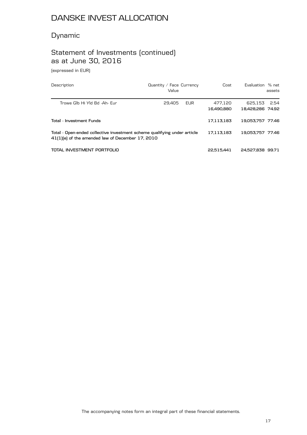### Dynamic

## Statement of Investments (continued) as at June 30, 2016

(expressed in EUR)

| Description                                                                                                                  | Quantity / Face Currency<br>Value | Cost                  | Evaluation % net            | assets |
|------------------------------------------------------------------------------------------------------------------------------|-----------------------------------|-----------------------|-----------------------------|--------|
| Trowe GIb Hi YId Bd -Ah- Eur                                                                                                 | 29.405<br><b>EUR</b>              | 477.120<br>16.490.880 | 625.153<br>18,428,286 74.92 | 2.54   |
| Total - Investment Funds                                                                                                     |                                   | 17.113.183            | 19.053.757 77.46            |        |
| Total - Open-ended collective investment scheme qualifying under article<br>41(1)(e) of the amended law of December 17, 2010 |                                   | 17.113.183            | 19.053.757 77.46            |        |
| TOTAL INVESTMENT PORTFOLIO                                                                                                   |                                   | 22.515.441            | 24,527,838 99.71            |        |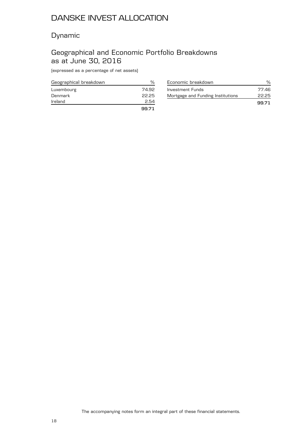### Dynamic

### Geographical and Economic Portfolio Breakdowns as at June 30, 2016

(expressed as a percentage of net assets)

| Geographical breakdown | %     |
|------------------------|-------|
| Luxembourg             | 74.92 |
| Denmark                | 22.25 |
| Ireland                | 2.54  |
|                        | 99.71 |

| Economic breakdown                |       |
|-----------------------------------|-------|
| Investment Funds                  | 77.46 |
| Mortgage and Funding Institutions | 2225  |
|                                   | 99.71 |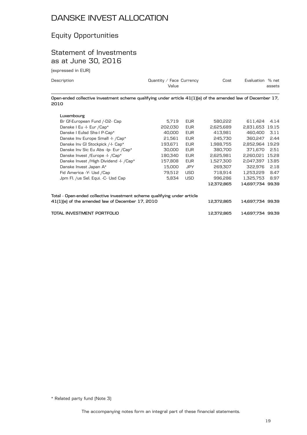## Equity Opportunities

### Statement of Investments as at June 30, 2016

(expressed in EUR)

| Description                   | Quantity / Face Currency<br>Value                                                                            | Cost                         | Evaluation % net<br>assets |
|-------------------------------|--------------------------------------------------------------------------------------------------------------|------------------------------|----------------------------|
| 2010                          | Open-ended collective investment scheme qualifying under article 41(1)(e) of the amended law of December 17, |                              |                            |
| Luxembourg                    |                                                                                                              |                              |                            |
| Br Gf-European Fund /-D2- Cap | <b>EUR</b><br>5.719                                                                                          | 580.222                      | 611.424<br>4.14            |
| Danske I Eu -I- Eur / Cap*    | 202.030<br>EUR                                                                                               | 2.625.689                    | 2.831.653 19.15            |
|                               | $\sim$ $\sim$ $\sim$                                                                                         | $- \cdot -$<br>$1.77$ $0.03$ | $100.100$ $-11.1$          |

| Danske I Eulsd Shs-I P-Cap*                                                                                                  | 40,000  | <b>EUR</b> | 413.981    | 460.400          | 3.11 |
|------------------------------------------------------------------------------------------------------------------------------|---------|------------|------------|------------------|------|
| Danske Inv Europe Small -I- /Cap*                                                                                            | 21.561  | <b>EUR</b> | 245.730    | 360.247          | 2.44 |
| Danske Inv GI Stockpick /-I- Cap*                                                                                            | 193.671 | <b>EUR</b> | 1.988.755  | 2.852.964 19.29  |      |
| Danske Inv Sic Eu Abs -Ip- Eur /Cap*                                                                                         | 30,000  | <b>EUR</b> | 380.700    | 371.670          | 2.51 |
| Danske Invest / Europe - I- / Cap*                                                                                           | 180.340 | <b>EUR</b> | 2,625,981  | 2.260.021 15.28  |      |
| Danske Invest / High Dividend - I- / Cap*                                                                                    | 157,808 | <b>EUR</b> | 1.527.300  | 2.047.397 13.85  |      |
| Danske Invest Japan A*                                                                                                       | 15.000  | <b>JPY</b> | 269.307    | 322.976          | 2.18 |
| Fid America - Y- Usd / Cap                                                                                                   | 79.512  | <b>USD</b> | 718.914    | 1.253.229        | 8.47 |
| Jpm Fl. /us Sel. Equi. -C- Usd Cap                                                                                           | 5.834   | <b>USD</b> | 996.286    | 1.325.753        | 8.97 |
|                                                                                                                              |         |            | 12.372.865 | 14.697.734 99.39 |      |
| Total - Open-ended collective investment scheme qualifying under article<br>41(1)(e) of the amended law of December 17, 2010 |         |            | 12.372.865 | 14,697,734 99.39 |      |
| TOTAL INVESTMENT PORTFOLIO                                                                                                   |         |            | 12.372.865 | 14,697,734 99,39 |      |

\* Related party fund (Note 3)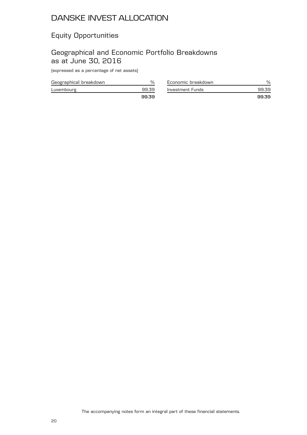## Equity Opportunities

### Geographical and Economic Portfolio Breakdowns as at June 30, 2016

(expressed as a percentage of net assets)

| Geographical breakdown |      |
|------------------------|------|
| Luxembourg             | 9939 |
|                        | 9939 |

| Economic breakdown |       |
|--------------------|-------|
| Investment Funds   | 99.39 |
|                    | 9939  |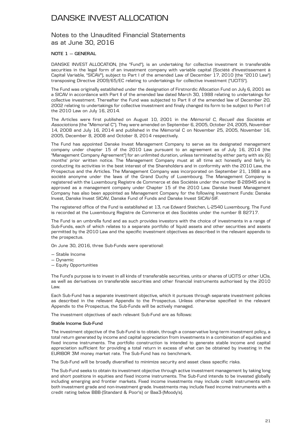### Notes to the Unaudited Financial Statements as at June 30, 2016

#### **NOTE 1 — GENERAL**

DANSKE INVEST ALLOCATION, (the "Fund"), is an undertaking for collective investment in transferable securities in the legal form of an investment company with variable capital (Société d'Investissement à Capital Variable, "SICAV"), subject to Part I of the amended Law of December 17, 2010 (the "2010 Law") transposing Directive 2009/65/EC relating to undertakings for collective investment ("UCITS").

The Fund was originally established under the designation of Firstnordic Allocation Fund on July 6, 2001 as a SICAV in accordance with Part II of the amended law dated March 30, 1988 relating to undertakings for collective investment. Thereafter the Fund was subjected to Part II of the amended law of December 20, 2002 relating to undertakings for collective investment and finaly changed its form to be subject to Part I of the 2010 Law on July 16, 2014.

The Articles were first published on August 10, 2001 in the *Mémorial C, Recueil des Sociétés et Associations* (the "Mémorial C"). They were amended on September 6, 2005, October 24, 2005, November 14, 2008 and July 16, 2014 and published in the Mémorial C on November 25, 2005, November 16, 2005, December 8, 2008 and October 8, 2014 respectively.

The Fund has appointed Danske Invest Management Company to serve as its designated management company under chapter 15 of the 2010 Law pursuant to an agreement as of July 16, 2014 (the "Management Company Agreement") for an unlimited duration, unless terminated by either party with six (6) months' prior written notice. The Management Company must at all time act honestly and fairly in conducting its activities in the best interest of the Shareholders and in conformity with the 2010 Law, the Prospectus and the Articles. The Management Company was incorporated on September 21, 1988 as a société anonyme under the laws of the Grand Duchy of Luxembourg. The Management Company is registered with the Luxembourg Registre de Commerce et des Sociétés under the number B-28945 and is approved as a management company under Chapter 15 of the 2010 Law. Danske Invest Management Company has also been appointed as Management Company for the following Investment Funds: Danske Invest, Danske Invest SICAV, Danske Fund of Funds and Danske Invest SICAV-SIF.

The registered office of the Fund is established at 13, rue Edward Steichen, L-2540 Luxembourg. The Fund is recorded at the Luxembourg Registre de Commerce et des Sociétés under the number B 82717.

The Fund is an umbrella fund and as such provides investors with the choice of investments in a range of Sub-Funds, each of which relates to a separate portfolio of liquid assets and other securities and assets permitted by the 2010 Law and the specific investment objectives as described in the relevant appendix to the prospectus.

On June 30, 2016, three Sub-Funds were operational:

- Stable Income
- Dynamic
- Equity Opportunities

The Fund's purpose is to invest in all kinds of transferable securities, units or shares of UCITS or other UCIs, as well as derivatives on transferable securities and other financial instruments authorised by the 2010 Law.

Each Sub-Fund has a separate investment objective, which it pursues through separate investment policies as described in the relevant Appendix to the Prospectus. Unless otherwise specified in the relevant Appendix to the Prospectus, the Sub-Funds will be actively managed.

The investment objectives of each relevant Sub-Fund are as follows:

#### **Stable Income Sub-Fund**

The investment objective of the Sub-Fund is to obtain, through a conservative long-term investment policy, a total return generated by income and capital appreciation from investments in a combination of equities and fixed income instruments. The portfolio construction is intended to generate stable income and capital appreciation sufficient for providing a total return in excess of what can be obtained by investing in the EURIBOR 3M money market rate. The Sub-Fund has no benchmark.

The Sub-Fund will be broadly diversified to minimize security and asset class specific risks.

The Sub-Fund seeks to obtain its investment objective through active investment management by taking long and short positions in equities and fixed income instruments. The Sub-Fund intends to be invested globally including emerging and frontier markets. Fixed income investments may include credit instruments with both investment grade and non-investment grade. Investments may include fixed income instruments with a credit rating below BBB-(Standard & Poor's) or Baa3-(Moody's).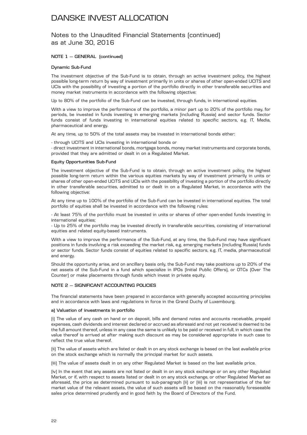### Notes to the Unaudited Financial Statements (continued) as at June 30, 2016

### **NOTE 1 — GENERAL (continued)**

### **Dynamic Sub-Fund**

The investment objective of the Sub-Fund is to obtain, through an active investment policy, the highest possible long-term return by way of investment primarily in units or shares of other open-ended UCITS and UCIs with the possibility of investing a portion of the portfolio directly in other transferable securities and money market instruments in accordance with the following objective:

Up to 80% of the portfolio of the Sub-Fund can be invested, through funds, in international equities.

With a view to improve the performance of the portfolio, a minor part up to 20% of the portfolio may, for periods, be invested in funds investing in emerging markets (including Russia) and sector funds. Sector funds consist of funds investing in international equities related to specific sectors, e.g. IT, Media, pharmaceutical and energy.

At any time, up to 50% of the total assets may be invested in international bonds either:

- through UCITS and UCIs investing in international bonds or

- direct investment in international bonds, mortgage bonds, money market instruments and corporate bonds, provided that they are admitted or dealt in on a Regulated Market.

#### **Equity Opportunities Sub-Fund**

The investment objective of the Sub-Fund is to obtain, through an active investment policy, the highest possible long-term return within the various equities markets by way of investment primarily in units or shares of other open-ended UCITS and UCIs with the possibility of investing a portion of the portfolio directly in other transferable securities, admitted to or dealt in on a Regulated Market, in accordance with the following objective:

At any time up to 100% of the portfolio of the Sub-Fund can be invested in international equities. The total portfolio of equities shall be invested in accordance with the following rules:

- At least 75% of the portfolio must be invested in units or shares of other open-ended funds investing in international equities;

- Up to 25% of the portfolio may be invested directly in transferable securities, consisting of international equities and related equity-based instruments.

With a view to improve the performance of the Sub-Fund, at any time, the Sub-Fund may have significant positions in funds involving a risk exceeding the market risk, e.g. emerging markets (including Russia) funds or sector funds. Sector funds consist of equities related to specific sectors, e.g. IT, media, pharmaceutical and energy.

Should the opportunity arise, and on ancillary basis only, the Sub-Fund may take positions up to 20% of the net assets of the Sub-Fund in a fund which specialize in IPOs (Initial Public Offers), or OTCs (Over The Counter) or make placements through funds which invest in private equity.

### **NOTE 2 — SIGNIFICANT ACCOUNTING POLICIES**

The financial statements have been prepared in accordance with generally accepted accounting principles and in accordance with laws and regulations in force in the Grand Duchy of Luxembourg.

#### **a) Valuation of investments in portfolio**

(i) The value of any cash on hand or on deposit, bills and demand notes and accounts receivable, prepaid expenses, cash dividends and interest declared or accrued as aforesaid and not yet received is deemed to be the full amount thereof, unless in any case the same is unlikely to be paid or received in full, in which case the value thereof is arrived at after making such discount as may be considered appropriate in such case to reflect the true value thereof.

(ii) The value of assets which are listed or dealt in on any stock exchange is based on the last available price on the stock exchange which is normally the principal market for such assets.

(iii) The value of assets dealt in on any other Regulated Market is based on the last available price.

(iv) In the event that any assets are not listed or dealt in on any stock exchange or on any other Regulated Market, or if, with respect to assets listed or dealt in on any stock exchange, or other Regulated Market as aforesaid, the price as determined pursuant to sub-paragraph (ii) or (iii) is not representative of the fair market value of the relevant assets, the value of such assets will be based on the reasonably foreseeable sales price determined prudently and in good faith by the Board of Directors of the Fund.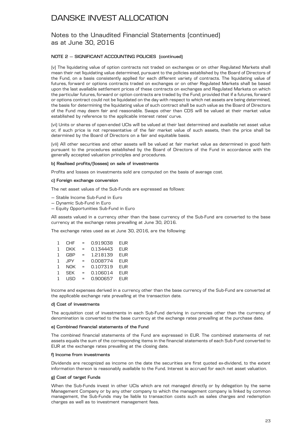### Notes to the Unaudited Financial Statements (continued) as at June 30, 2016

### **NOTE 2 — SIGNIFICANT ACCOUNTING POLICIES (continued)**

(v) The liquidating value of option contracts not traded on exchanges or on other Regulated Markets shall mean their net liquidating value determined, pursuant to the policies established by the Board of Directors of the Fund, on a basis consistently applied for each different variety of contracts. The liquidating value of futures, forward or options contracts traded on exchanges or on other Regulated Markets shall be based upon the last available settlement prices of these contracts on exchanges and Regulated Markets on which the particular futures, forward or option contracts are traded by the Fund; provided that if a futures, forward or options contract could not be liquidated on the day with respect to which net assets are being determined, the basis for determining the liquidating value of such contract shall be such value as the Board of Directors of the Fund may deem fair and reasonable. Swaps other than CDS will be valued at their market value established by reference to the applicable interest rates' curve.

(vi) Units or shares of open-ended UCIs will be valued at their last determined and available net asset value or, if such price is not representative of the fair market value of such assets, then the price shall be determined by the Board of Directors on a fair and equitable basis.

(vii) All other securities and other assets will be valued at fair market value as determined in good faith pursuant to the procedures established by the Board of Directors of the Fund in accordance with the generally accepted valuation principles and procedures.

#### **b) Realised profits/(losses) on sale of investments**

Profits and losses on investments sold are computed on the basis of average cost.

#### **c) Foreign exchange conversion**

The net asset values of the Sub-Funds are expressed as follows:

- Stable Income Sub-Fund in Euro
- Dynamic Sub-Fund in Euro
- Equity Opportunities Sub-Fund in Euro

All assets valued in a currency other than the base currency of the Sub-Fund are converted to the base currency at the exchange rates prevailing at June 30, 2016.

The exchange rates used as at June 30, 2016, are the following:

| 1            | CHF        | $=$ | 0.919038 | <b>EUR</b> |
|--------------|------------|-----|----------|------------|
| 1            | <b>DKK</b> | $=$ | 0.134443 | <b>EUR</b> |
| 1            | <b>GBP</b> | $=$ | 1.218139 | <b>EUR</b> |
| $\mathbf{1}$ | <b>JPY</b> | $=$ | 0.008774 | <b>EUR</b> |
| $\mathbf{1}$ | <b>NOK</b> | $=$ | 0.107319 | <b>EUR</b> |
| $\mathbf{1}$ | <b>SEK</b> | $=$ | 0.106014 | <b>EUR</b> |
| $\mathbf{1}$ | USD        | $=$ | 0.900657 | <b>EUR</b> |

Income and expenses derived in a currency other than the base currency of the Sub-Fund are converted at the applicable exchange rate prevailing at the transaction date.

#### **d) Cost of investments**

The acquisition cost of investments in each Sub-Fund deriving in currencies other than the currency of denomination is converted to the base currency at the exchange rates prevailing at the purchase date.

#### **e) Combined financial statements of the Fund**

The combined financial statements of the Fund are expressed in EUR. The combined statements of net assets equals the sum of the corresponding items in the financial statements of each Sub-Fund converted to EUR at the exchange rates prevailing at the closing date.

#### **f) Income from investments**

Dividends are recognized as income on the date the securities are first quoted ex-dividend, to the extent information thereon is reasonably available to the Fund. Interest is accrued for each net asset valuation.

#### **g) Cost of target Funds**

When the Sub-Funds invest in other UCIs which are not managed directly or by delegation by the same Management Company or by any other company to which the management company is linked by common management, the Sub-Funds may be liable to transaction costs such as sales charges and redemption charges as well as to investment management fees.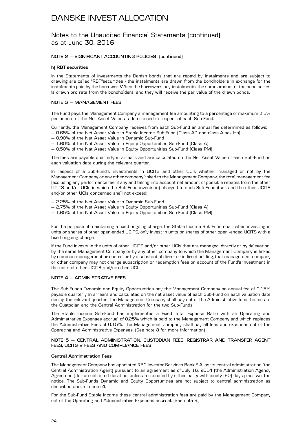### Notes to the Unaudited Financial Statements (continued) as at June 30, 2016

### **NOTE 2 — SIGNIFICANT ACCOUNTING POLICIES (continued)**

### **h) RBT securities**

In the Statements of Investments the Danish bonds that are repaid by instalments and are subject to drawing are called "RBT"securities - the instalments are drawn from the bondholders in exchange for the instalments paid by the borrower. When the borrowers pay instalments, the same amount of the bond series is drawn pro rata from the bondholders, and they will receive the par value of the drawn bonds.

### **NOTE 3 — MANAGEMENT FEES**

The Fund pays the Management Company a management fee amounting to a percentage of maximum 3.5% per annum of the Net Asset Value as determined in respect of each Sub-Fund.

Currently, the Management Company receives from each Sub-Fund an annual fee determined as follows: — 0.65% of the Net Asset Value in Stable Income Sub-Fund (Class AP and class A-sek Hp)

- 0.90% of the Net Asset Value in Dynamic Sub-Fund
- 1.60% of the Net Asset Value in Equity Opportunities Sub-Fund (Class A)
- 0.50% of the Nat Asset Value in Equity Opportunities Sub-Fund (Class PM)

The fees are payable quarterly in arrears and are calculated on the Net Asset Value of each Sub-Fund on each valuation date during the relevant quarter.

In respect of a Sub-Fund's investments in UCITS and other UCIs whether managed or not by the Management Company or any other company linked to the Management Company, the total management fee (excluding any performance fee, if any and taking into account net amount of possible rebates from the other UCITS and/or UCIs in which the Sub-Fund invests in) charged to such Sub-Fund itself and the other UCITS and/or other UCIs concerned shall not exceed:

- 2.25% of the Net Asset Value in Dynamic Sub-Fund
- 2.75% of the Net Asset Value in Equity Opportunities Sub-Fund (Class A)
- 1.65% of the Nat Asset Value in Equity Opportunities Sub-Fund (Class PM)

For the purpose of maintaining a fixed ongoing charge, the Stable Income Sub-Fund shall, when investing in units or shares of other open-ended UCITS, only invest in units or shares of other open -ended UCITS with a fixed ongoing charge.

If the Fund invests in the units of other UCITS and/or other UCIs that are managed, directly or by delegation, by the same Management Company or by any other company to which the Management Company is linked by common management or control or by a substantial direct or indirect holding, that management company or other company may not charge subscription or redemption fees on account of the Fund's investment in the units of other UCITS and/or other UCI.

### **NOTE 4 — ADMINISTRATIVE FEES**

The Sub-Funds Dynamic and Equity Opportunities pay the Management Company an annual fee of 0.15% payable quarterly in arrears and calculated on the net asset value of each Sub-Fund on each valuation date during the relevant quarter. The Management Company shall pay out of the Administrative fees the fees to the Custodian and the Central Administration for the two Sub-Funds.

The Stable Income Sub-Fund has implemented a Fixed Total Expense Ratio with an Operating and Administrative Expenses accrual of 0.25% which is paid to the Management Company and which replaces the Administrative Fees of 0.15%. The Management Company shall pay all fees and expenses out of the Operating and Administrative Expenses. (See note 8 for more information)

### **NOTE 5 — CENTRAL ADMINISTRATION, CUSTODIAN FEES, REGISTRAR AND TRANSFER AGENT FEES, UCITS V FEES AND COMPLIANCE FEES**

### **Central Administration Fees:**

The Management Company has appointed RBC Investor Services Bank S.A. as its central administration (the Central Administration Agent) pursuant to an agreement as of July 16, 2014 (the Administration Agency Agreement) for an unlimited duration, unless terminated by either party with ninety (90) days prior written notice. The Sub-Funds Dynamic and Equity Opportunities are not subject to central administration as described above in note 4.

For the Sub-Fund Stable Income these central administration fees are paid by the Management Company out of the Operating and Administrative Expenses accrual. (See note 8.)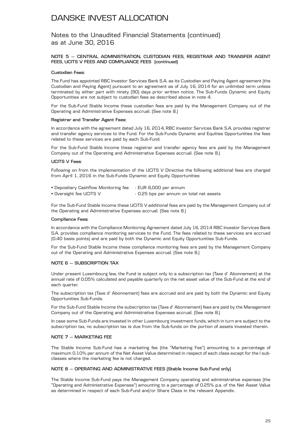Notes to the Unaudited Financial Statements (continued) as at June 30, 2016

#### **NOTE 5 — CENTRAL ADMINISTRATION, CUSTODIAN FEES, REGISTRAR AND TRANSFER AGENT FEES, UCITS V FEES AND COMPLIANCE FEES (continued)**

#### **Custodian Fees:**

The Fund has appointed RBC Investor Services Bank S.A. as its Custodian and Paying Agent agreement (the Custodian and Paying Agent) pursuant to an agreement as of July 16, 2014 for an unlimited term unless terminated by either part with ninety (90) days prior written notice. The Sub-Funds Dynamic and Equity Opportunities are not subject to custodian fees as described above in note 4.

For the Sub-Fund Stable Income these custodian fees are paid by the Management Company out of the Operating and Administrative Expenses accrual. (See note 8.)

#### **Registrar and Transfer Agent Fees:**

In accordance with the agreement dated July 16, 2014, RBC investor Services Bank S.A. provides registrar and transfer agency services to the Fund. For the Sub-Funds Dynamic and Equities Opportunities the fees related to these services are paid by each Sub-Fund.

For the Sub-Fund Stable Income these registrar and transfer agency fees are paid by the Management Company out of the Operating and Administrative Expenses accrual. (See note 8.)

#### **UCITS V Fees:**

Following on from the implementation of the UCITS V Directive the following additional fees are charged from April 1, 2016 in the Sub-Funds Dynamic and Equity Opportunities:

- Depositary Cashflow Monitoring fee EUR 6,000 per annum
- Oversight fee UCITS V 0.25 bps per annum on total net assets

For the Sub-Fund Stable Income these UCITS V additional fees are paid by the Management Company out of the Operating and Administrative Expenses accrual. (See note 8.)

#### **Compliance Fees:**

In accordance with the Compliance Monitoring Agreement dated July 16, 2014 RBC Investor Services Bank S.A. provides compliance monitoring services to the Fund. The fees related to these services are accrued (0.40 basis points) and are paid by both the Dynamic and Equity Opportunities Sub-Funds.

For the Sub-Fund Stable Income these compliance monitoring fees are paid by the Management Company out of the Operating and Administrative Expenses accrual. (See note 8.)

#### **NOTE 6 — SUBSCRIPTION TAX**

Under present Luxembourg law, the Fund is subject only to a subscription tax (Taxe d' Abonnement) at the annual rate of 0.05% calculated and payable quarterly on the net asset value of the Sub-Fund at the end of each quarter.

The subscription tax (Taxe d' Abonnement) fees are accrued and are paid by both the Dynamic and Equity Opportunities Sub-Funds.

For the Sub-Fund Stable Income the subscription tax (Taxe d' Abonnement) fees are paid by the Management Company out of the Operating and Administrative Expenses accrual. (See note 8.)

In case some Sub-Funds are invested in other Luxembourg investment funds, which in turn are subject to the subscription tax, no subscription tax is due from the Sub-funds on the portion of assets invested therein.

### **NOTE 7 — MARKETING FEE**

The Stable Income Sub-Fund has a marketing fee (the "Marketing Fee") amounting to a percentage of maximum 0.10% per annum of the Net Asset Value determined in respect of each class except for the I subclasses where the marketing fee is not charged.

#### **NOTE 8 — OPERATING AND ADMINISTRATIVE FEES (Stable Income Sub-Fund only)**

The Stable Income Sub-Fund pays the Management Company operating and administrative expenses (the "Operating and Administrative Expenses") amounting to a percentage of 0.25% p.a. of the Net Asset Value as determined in respect of each Sub-Fund and/or Share Class in the relevant Appendix.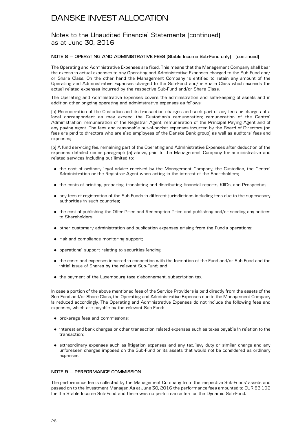### Notes to the Unaudited Financial Statements (continued) as at June 30, 2016

#### **NOTE 8 — OPERATING AND ADMINISTRATIVE FEES (Stable Income Sub-Fund only) (continued)**

The Operating and Administrative Expenses are fixed. This means that the Management Company shall bear the excess in actual expenses to any Operating and Administrative Expenses charged to the Sub-Fund and/ or Share Class. On the other hand the Management Company is entitled to retain any amount of the Operating and Administrative Expenses charged to the Sub-Fund and/or Share Class which exceeds the actual related expenses incurred by the respective Sub-Fund and/or Share Class.

The Operating and Administrative Expenses covers the administration and safe-keeping of assets and in addition other ongoing operating and administrative expenses as follows:

(a) Remuneration of the Custodian and its transaction charges and such part of any fees or charges of a local correspondent as may exceed the Custodian's remuneration; remuneration of the Central Administration; remuneration of the Registrar Agent; remuneration of the Principal Paying Agent and of any paying agent. The fees and reasonable out-of-pocket expenses incurred by the Board of Directors (no fees are paid to directors who are also employees of the Danske Bank group) as well as auditors' fees and expenses;

(b) A fund servicing fee, remaining part of the Operating and Administrative Expenses after deduction of the expenses detailed under paragraph (a) above, paid to the Management Company for administrative and related services including but limited to:

- . the cost of ordinary legal advice received by the Management Company, the Custodian, the Central Administration or the Registrar Agent when acting in the interest of the Shareholders;
- . the costs of printing, preparing, translating and distributing financial reports, KIIDs, and Prospectus;
- . any fees of registration of the Sub-Funds in different jurisdictions including fees due to the supervisory authorities in such countries;
- . the cost of publishing the Offer Price and Redemption Price and publishing and/or sending any notices to Shareholders;
- . other customary administration and publication expenses arising from the Fund's operations;
- . risk and compliance monitoring support;
- . operational support relating to securities lending;
- . the costs and expenses incurred in connection with the formation of the Fund and/or Sub-Fund and the initial issue of Shares by the relevant Sub-Fund; and
- . the payment of the Luxembourg taxe d'abonnement, subscription tax.

In case a portion of the above mentioned fees of the Service Providers is paid directly from the assets of the Sub-Fund and/or Share Class, the Operating and Administrative Expenses due to the Management Company is reduced accordingly. The Operating and Administrative Expenses do not include the following fees and expenses, which are payable by the relevant Sub-Fund:

- . brokerage fees and commissions;
- . interest and bank charges or other transaction related expenses such as taxes payable in relation to the transaction;
- . extraordinary expenses such as litigation expenses and any tax, levy duty or similar charge and any unforeseen charges imposed on the Sub-Fund or its assets that would not be considered as ordinary expenses.

### **NOTE 9 — PERFORMANCE COMMISSION**

The performance fee is collected by the Management Company from the respective Sub-Funds' assets and passed on to the Investment Manager. As at June 30, 2016 the performance fees amounted to EUR 83,192 for the Stable Income Sub-Fund and there was no performance fee for the Dynamic Sub-Fund.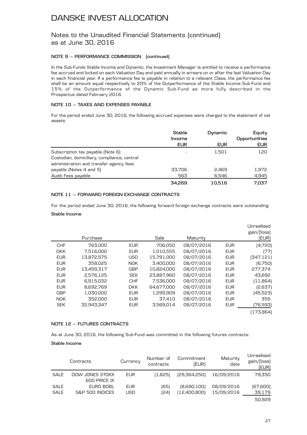### Notes to the Unaudited Financial Statements (continued) as at June 30, 2016

### **NOTE 9 — PERFORMANCE COMMISSION (continued)**

In the Sub-Funds Stable Income and Dynamic, the Investment Manager is entitled to receive a performance fee accrued and locked on each Valuation Day and paid annually in arrears on or after the last Valuation Day in each financial year. If a performance fee is payable in relation to a relevant Class, the performance fee shall be an amount equal respectively to 20% of the Outperformance of the Stable Income Sub-Fund and 15% of the Outperformance of the Dynamic Sub-Fund as more fully described in the Prospectus dated February 2016.

### **NOTE 10 — TAXES AND EXPENSES PAYABLE**

For the period ended June 30, 2016, the following accrued expenses were charged to the statement of net assets:

|                                             | Stable<br>Income<br><b>EUR</b> | Dynamic<br><b>EUR</b> | Equity<br>Opportunities<br><b>EUR</b> |
|---------------------------------------------|--------------------------------|-----------------------|---------------------------------------|
| Subscription tax payable (Note 6)           | $\overline{\phantom{a}}$       | 1.501                 | 120                                   |
| Custodian, domiciliary, compliance, central |                                |                       |                                       |
| administration and transfer agency fees     |                                |                       |                                       |
| payable (Notes 4 and 5)                     | 33,706                         | 2,469                 | 1,972                                 |
| Audit Fees payable                          | 563                            | 6,546                 | 4,945                                 |
|                                             | 34.269                         | 10.516                | 7.037                                 |

### **NOTE 11 — FORWARD FOREIGN EXCHANGE CONTRACTS**

For the period ended June 30, 2016, the following forward foreign exchange contracts were outstanding:

### **Stable Income**

|            | Purchase   |            | Sale       | Maturity   |            | Unrealised<br>gain/(loss)<br>(EUR) |
|------------|------------|------------|------------|------------|------------|------------------------------------|
| <b>CHF</b> | 763,000    | EUR.       | 706,050    | 08/07/2016 | <b>EUR</b> | (4,720)                            |
| <b>DKK</b> | 7.516.000  | <b>EUR</b> | 1,010,555  | 08/07/2016 | <b>EUR</b> | [77]                               |
| <b>EUR</b> | 13,872,575 | <b>USD</b> | 15,791,000 | 08/07/2016 | <b>EUR</b> | [347, 121]                         |
| <b>EUR</b> | 358.025    | <b>NOK</b> | 3,400,000  | 08/07/2016 | <b>EUR</b> | (6,750)                            |
| <b>EUR</b> | 13,459,317 | <b>GBP</b> | 10,824,000 | 08/07/2016 | <b>EUR</b> | 277,374                            |
| <b>EUR</b> | 2,576,125  | <b>SEK</b> | 23,887,960 | 08/07/2016 | <b>EUR</b> | 43,692                             |
| <b>EUR</b> | 6.915.032  | <b>CHF</b> | 7,536,000  | 08/07/2016 | <b>EUR</b> | (11,864)                           |
| <b>EUR</b> | 8,692,769  | <b>DKK</b> | 64,677,000 | 08/07/2016 | <b>EUR</b> | [2,637]                            |
| <b>GBP</b> | 1,030,000  | <b>EUR</b> | 1,299,909  | 08/07/2016 | <b>EUR</b> | (45,523)                           |
| <b>NOK</b> | 352,000    | <b>EUR</b> | 37,410     | 08/07/2016 | <b>EUR</b> | 355                                |
| <b>SEK</b> | 32.943.347 | <b>EUR</b> | 3,569,014  | 08/07/2016 | <b>EUR</b> | (76,593)                           |
|            |            |            |            |            |            | (173,864)                          |

### **NOTE 12 — FUTURES CONTRACTS**

As at June 30, 2016, the following Sub-Fund was committed in the following futures contracts:

### **Stable Income**

|             | Contracts                       | Currency   | Number of<br>contracts | Commitment<br>(EUR) | Maturity<br>date | Unrealised<br>gain/(loss)<br>(EUR) |
|-------------|---------------------------------|------------|------------------------|---------------------|------------------|------------------------------------|
| <b>SALE</b> | DOW JONES STOXX<br>600 PRICE IX | <b>EUR</b> | (1.825)                | (29,364,250)        | 16/09/2016       | 79,350                             |
| <b>SALE</b> | EURO BOBL                       | <b>EUR</b> | (65)                   | [8,680,100]         | 08/09/2016       | [67,600]                           |
| <b>SALE</b> | S&P 500 INDICES                 | USD        | (24                    | [12,400,800]        | 15/09/2016       | 39,179                             |
|             |                                 |            |                        |                     |                  | 50.929                             |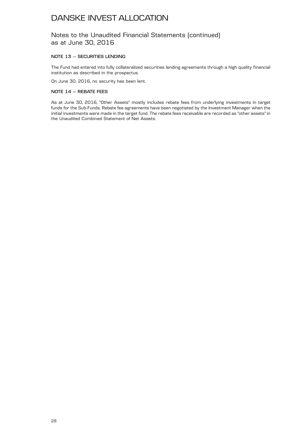Notes to the Unaudited Financial Statements (continued) as at June 30, 2016

### **NOTE 13 — SECURITIES LENDING**

The Fund had entered into fully collateralized securities lending agreements through a high quality financial institution as described in the prospectus.

On June 30, 2016, no security has been lent.

### **NOTE 14 — REBATE FEES**

As at June 30, 2016, "Other Assets" mostly includes rebate fees from underlying investments in target funds for the Sub-Funds. Rebate fee agreements have been negotiated by the Investment Manager when the initial investments were made in the target fund. The rebate fees receivable are recorded as "other assets" in the Unaudited Combined Statement of Net Assets.